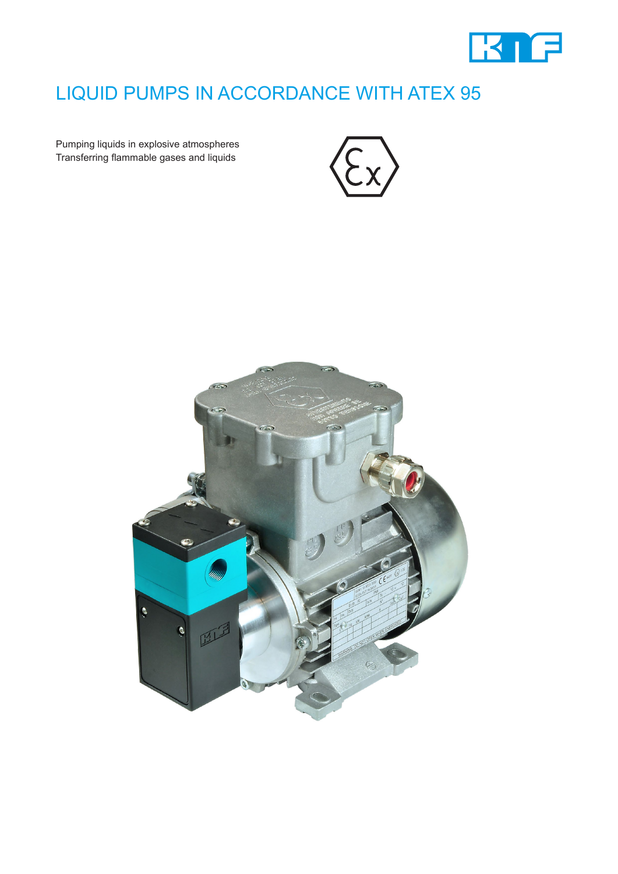

## LIQUID PUMPS IN ACCORDANCE WITH ATEX 95

Pumping liquids in explosive atmospheres Transferring flammable gases and liquids